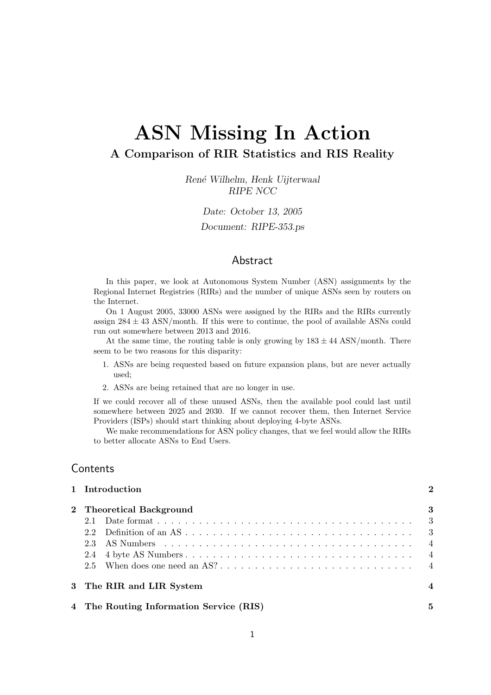# ASN Missing In Action A Comparison of RIR Statistics and RIS Reality

Ren´e Wilhelm, Henk Uijterwaal RIPE NCC

> Date: October 13, 2005 Document: RIPE-353.ps

### Abstract

In this paper, we look at Autonomous System Number (ASN) assignments by the Regional Internet Registries (RIRs) and the number of unique ASNs seen by routers on the Internet.

On 1 August 2005, 33000 ASNs were assigned by the RIRs and the RIRs currently assign  $284 \pm 43$  ASN/month. If this were to continue, the pool of available ASNs could run out somewhere between 2013 and 2016.

At the same time, the routing table is only growing by  $183 \pm 44$  ASN/month. There seem to be two reasons for this disparity:

- 1. ASNs are being requested based on future expansion plans, but are never actually used;
- 2. ASNs are being retained that are no longer in use.

If we could recover all of these unused ASNs, then the available pool could last until somewhere between 2025 and 2030. If we cannot recover them, then Internet Service Providers (ISPs) should start thinking about deploying 4-byte ASNs.

We make recommendations for ASN policy changes, that we feel would allow the RIRs to better allocate ASNs to End Users.

# **Contents**

| 1 Introduction                          | 2  |
|-----------------------------------------|----|
| 2 Theoretical Background                | -3 |
| 3 The RIR and LIR System                |    |
| 4 The Routing Information Service (RIS) | 5  |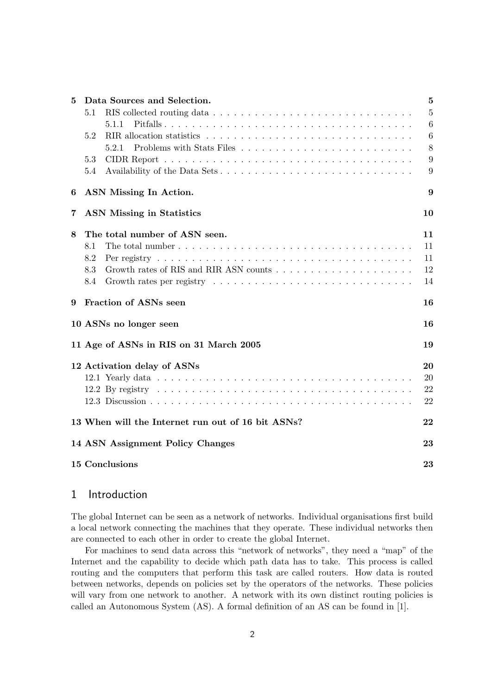| 5 | Data Sources and Selection.                                                                                      | 5              |
|---|------------------------------------------------------------------------------------------------------------------|----------------|
|   | 5.1                                                                                                              | $\overline{5}$ |
|   | 5.1.1                                                                                                            | 6              |
|   | 5.2                                                                                                              | 6              |
|   | 5.2.1                                                                                                            | 8              |
|   | 5.3                                                                                                              | 9              |
|   | Availability of the Data Sets<br>5.4                                                                             | 9              |
| 6 | ASN Missing In Action.                                                                                           | 9              |
| 7 | ASN Missing in Statistics                                                                                        | 10             |
| 8 | The total number of ASN seen.                                                                                    | 11             |
|   | 8.1                                                                                                              | 11             |
|   | Per registry $\ldots \ldots \ldots \ldots \ldots \ldots \ldots \ldots \ldots \ldots \ldots \ldots \ldots$<br>8.2 | 11             |
|   | 8.3                                                                                                              | 12             |
|   | 8.4                                                                                                              | 14             |
| 9 | Fraction of ASNs seen                                                                                            | 16             |
|   | 10 ASNs no longer seen                                                                                           | 16             |
|   | 11 Age of ASNs in RIS on 31 March 2005                                                                           | 19             |
|   | 12 Activation delay of ASNs                                                                                      | 20             |
|   |                                                                                                                  | 20             |
|   |                                                                                                                  | 22             |
|   |                                                                                                                  | 22             |
|   | 13 When will the Internet run out of 16 bit ASNs?                                                                | 22             |
|   | 14 ASN Assignment Policy Changes                                                                                 | 23             |
|   | 15 Conclusions                                                                                                   | 23             |

### 1 Introduction

The global Internet can be seen as a network of networks. Individual organisations first build a local network connecting the machines that they operate. These individual networks then are connected to each other in order to create the global Internet.

For machines to send data across this "network of networks", they need a "map" of the Internet and the capability to decide which path data has to take. This process is called routing and the computers that perform this task are called routers. How data is routed between networks, depends on policies set by the operators of the networks. These policies will vary from one network to another. A network with its own distinct routing policies is called an Autonomous System (AS). A formal definition of an AS can be found in [1].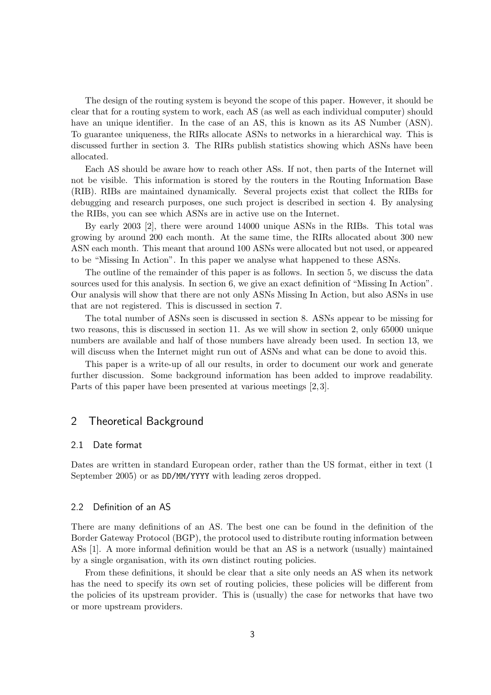The design of the routing system is beyond the scope of this paper. However, it should be clear that for a routing system to work, each AS (as well as each individual computer) should have an unique identifier. In the case of an AS, this is known as its AS Number (ASN). To guarantee uniqueness, the RIRs allocate ASNs to networks in a hierarchical way. This is discussed further in section 3. The RIRs publish statistics showing which ASNs have been allocated.

Each AS should be aware how to reach other ASs. If not, then parts of the Internet will not be visible. This information is stored by the routers in the Routing Information Base (RIB). RIBs are maintained dynamically. Several projects exist that collect the RIBs for debugging and research purposes, one such project is described in section 4. By analysing the RIBs, you can see which ASNs are in active use on the Internet.

By early 2003 [2], there were around 14000 unique ASNs in the RIBs. This total was growing by around 200 each month. At the same time, the RIRs allocated about 300 new ASN each month. This meant that around 100 ASNs were allocated but not used, or appeared to be "Missing In Action". In this paper we analyse what happened to these ASNs.

The outline of the remainder of this paper is as follows. In section 5, we discuss the data sources used for this analysis. In section 6, we give an exact definition of "Missing In Action". Our analysis will show that there are not only ASNs Missing In Action, but also ASNs in use that are not registered. This is discussed in section 7.

The total number of ASNs seen is discussed in section 8. ASNs appear to be missing for two reasons, this is discussed in section 11. As we will show in section 2, only 65000 unique numbers are available and half of those numbers have already been used. In section 13, we will discuss when the Internet might run out of ASNs and what can be done to avoid this.

This paper is a write-up of all our results, in order to document our work and generate further discussion. Some background information has been added to improve readability. Parts of this paper have been presented at various meetings [2, 3].

### 2 Theoretical Background

#### 2.1 Date format

Dates are written in standard European order, rather than the US format, either in text (1 September 2005) or as DD/MM/YYYY with leading zeros dropped.

#### 2.2 Definition of an AS

There are many definitions of an AS. The best one can be found in the definition of the Border Gateway Protocol (BGP), the protocol used to distribute routing information between ASs [1]. A more informal definition would be that an AS is a network (usually) maintained by a single organisation, with its own distinct routing policies.

From these definitions, it should be clear that a site only needs an AS when its network has the need to specify its own set of routing policies, these policies will be different from the policies of its upstream provider. This is (usually) the case for networks that have two or more upstream providers.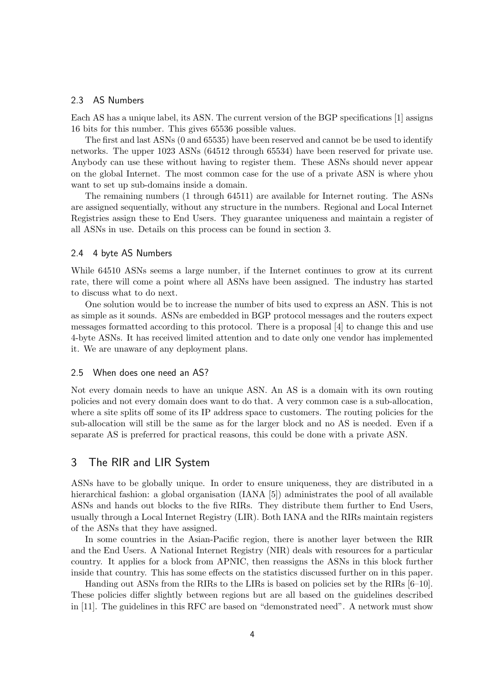#### 2.3 AS Numbers

Each AS has a unique label, its ASN. The current version of the BGP specifications [1] assigns 16 bits for this number. This gives 65536 possible values.

The first and last ASNs (0 and 65535) have been reserved and cannot be be used to identify networks. The upper 1023 ASNs (64512 through 65534) have been reserved for private use. Anybody can use these without having to register them. These ASNs should never appear on the global Internet. The most common case for the use of a private ASN is where yhou want to set up sub-domains inside a domain.

The remaining numbers (1 through 64511) are available for Internet routing. The ASNs are assigned sequentially, without any structure in the numbers. Regional and Local Internet Registries assign these to End Users. They guarantee uniqueness and maintain a register of all ASNs in use. Details on this process can be found in section 3.

#### 2.4 4 byte AS Numbers

While 64510 ASNs seems a large number, if the Internet continues to grow at its current rate, there will come a point where all ASNs have been assigned. The industry has started to discuss what to do next.

One solution would be to increase the number of bits used to express an ASN. This is not as simple as it sounds. ASNs are embedded in BGP protocol messages and the routers expect messages formatted according to this protocol. There is a proposal [4] to change this and use 4-byte ASNs. It has received limited attention and to date only one vendor has implemented it. We are unaware of any deployment plans.

#### 2.5 When does one need an AS?

Not every domain needs to have an unique ASN. An AS is a domain with its own routing policies and not every domain does want to do that. A very common case is a sub-allocation, where a site splits off some of its IP address space to customers. The routing policies for the sub-allocation will still be the same as for the larger block and no AS is needed. Even if a separate AS is preferred for practical reasons, this could be done with a private ASN.

### 3 The RIR and LIR System

ASNs have to be globally unique. In order to ensure uniqueness, they are distributed in a hierarchical fashion: a global organisation (IANA [5]) administrates the pool of all available ASNs and hands out blocks to the five RIRs. They distribute them further to End Users, usually through a Local Internet Registry (LIR). Both IANA and the RIRs maintain registers of the ASNs that they have assigned.

In some countries in the Asian-Pacific region, there is another layer between the RIR and the End Users. A National Internet Registry (NIR) deals with resources for a particular country. It applies for a block from APNIC, then reassigns the ASNs in this block further inside that country. This has some effects on the statistics discussed further on in this paper.

Handing out ASNs from the RIRs to the LIRs is based on policies set by the RIRs [6–10]. These policies differ slightly between regions but are all based on the guidelines described in [11]. The guidelines in this RFC are based on "demonstrated need". A network must show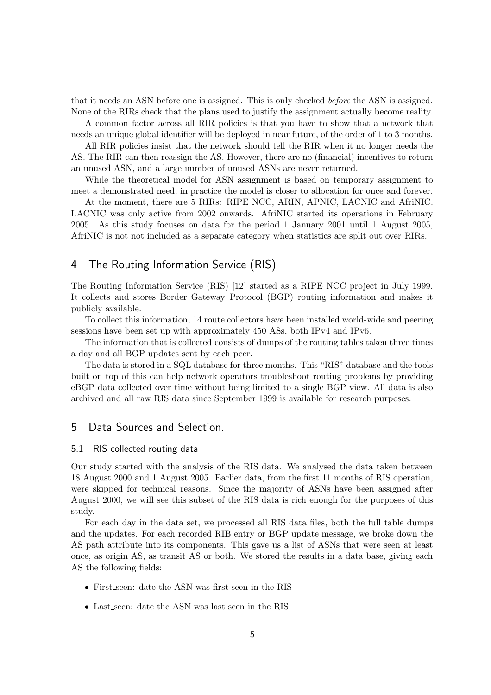that it needs an ASN before one is assigned. This is only checked before the ASN is assigned. None of the RIRs check that the plans used to justify the assignment actually become reality.

A common factor across all RIR policies is that you have to show that a network that needs an unique global identifier will be deployed in near future, of the order of 1 to 3 months.

All RIR policies insist that the network should tell the RIR when it no longer needs the AS. The RIR can then reassign the AS. However, there are no (financial) incentives to return an unused ASN, and a large number of unused ASNs are never returned.

While the theoretical model for ASN assignment is based on temporary assignment to meet a demonstrated need, in practice the model is closer to allocation for once and forever.

At the moment, there are 5 RIRs: RIPE NCC, ARIN, APNIC, LACNIC and AfriNIC. LACNIC was only active from 2002 onwards. AfriNIC started its operations in February 2005. As this study focuses on data for the period 1 January 2001 until 1 August 2005, AfriNIC is not not included as a separate category when statistics are split out over RIRs.

### 4 The Routing Information Service (RIS)

The Routing Information Service (RIS) [12] started as a RIPE NCC project in July 1999. It collects and stores Border Gateway Protocol (BGP) routing information and makes it publicly available.

To collect this information, 14 route collectors have been installed world-wide and peering sessions have been set up with approximately 450 ASs, both IPv4 and IPv6.

The information that is collected consists of dumps of the routing tables taken three times a day and all BGP updates sent by each peer.

The data is stored in a SQL database for three months. This "RIS" database and the tools built on top of this can help network operators troubleshoot routing problems by providing eBGP data collected over time without being limited to a single BGP view. All data is also archived and all raw RIS data since September 1999 is available for research purposes.

### 5 Data Sources and Selection.

#### 5.1 RIS collected routing data

Our study started with the analysis of the RIS data. We analysed the data taken between 18 August 2000 and 1 August 2005. Earlier data, from the first 11 months of RIS operation, were skipped for technical reasons. Since the majority of ASNs have been assigned after August 2000, we will see this subset of the RIS data is rich enough for the purposes of this study.

For each day in the data set, we processed all RIS data files, both the full table dumps and the updates. For each recorded RIB entry or BGP update message, we broke down the AS path attribute into its components. This gave us a list of ASNs that were seen at least once, as origin AS, as transit AS or both. We stored the results in a data base, giving each AS the following fields:

- First seen: date the ASN was first seen in the RIS
- Last seen: date the ASN was last seen in the RIS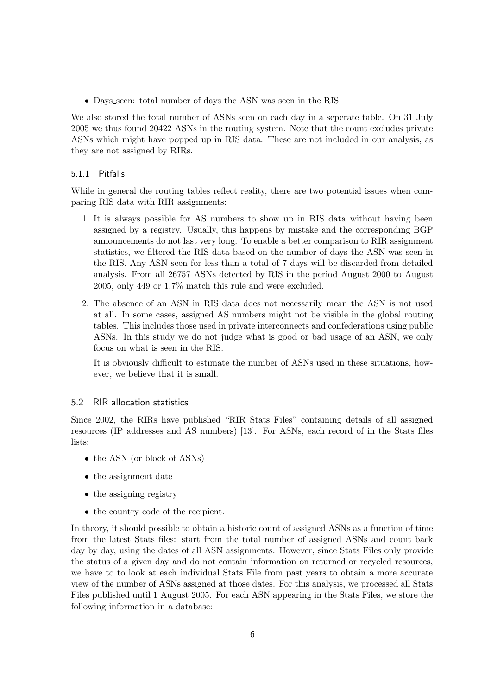• Days seen: total number of days the ASN was seen in the RIS

We also stored the total number of ASNs seen on each day in a seperate table. On 31 July 2005 we thus found 20422 ASNs in the routing system. Note that the count excludes private ASNs which might have popped up in RIS data. These are not included in our analysis, as they are not assigned by RIRs.

#### 5.1.1 Pitfalls

While in general the routing tables reflect reality, there are two potential issues when comparing RIS data with RIR assignments:

- 1. It is always possible for AS numbers to show up in RIS data without having been assigned by a registry. Usually, this happens by mistake and the corresponding BGP announcements do not last very long. To enable a better comparison to RIR assignment statistics, we filtered the RIS data based on the number of days the ASN was seen in the RIS. Any ASN seen for less than a total of 7 days will be discarded from detailed analysis. From all 26757 ASNs detected by RIS in the period August 2000 to August 2005, only 449 or 1.7% match this rule and were excluded.
- 2. The absence of an ASN in RIS data does not necessarily mean the ASN is not used at all. In some cases, assigned AS numbers might not be visible in the global routing tables. This includes those used in private interconnects and confederations using public ASNs. In this study we do not judge what is good or bad usage of an ASN, we only focus on what is seen in the RIS.

It is obviously difficult to estimate the number of ASNs used in these situations, however, we believe that it is small.

#### 5.2 RIR allocation statistics

Since 2002, the RIRs have published "RIR Stats Files" containing details of all assigned resources (IP addresses and AS numbers) [13]. For ASNs, each record of in the Stats files lists:

- the ASN (or block of ASNs)
- the assignment date
- the assigning registry
- the country code of the recipient.

In theory, it should possible to obtain a historic count of assigned ASNs as a function of time from the latest Stats files: start from the total number of assigned ASNs and count back day by day, using the dates of all ASN assignments. However, since Stats Files only provide the status of a given day and do not contain information on returned or recycled resources, we have to to look at each individual Stats File from past years to obtain a more accurate view of the number of ASNs assigned at those dates. For this analysis, we processed all Stats Files published until 1 August 2005. For each ASN appearing in the Stats Files, we store the following information in a database: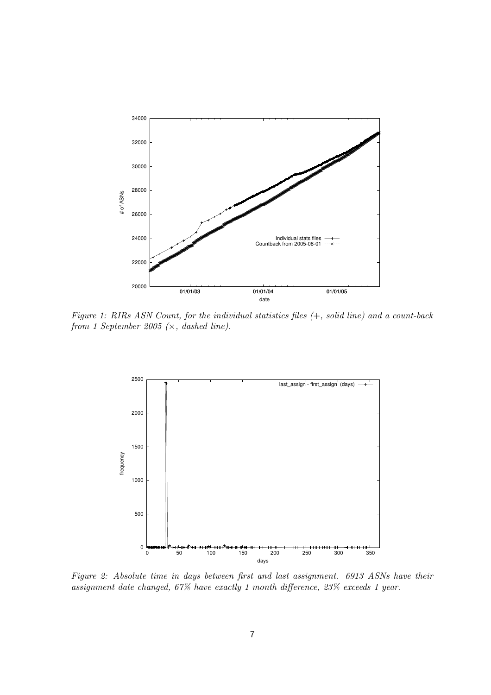

Figure 1: RIRs ASN Count, for the individual statistics files (+, solid line) and a count-back from 1 September 2005  $(\times,$  dashed line).



Figure 2: Absolute time in days between first and last assignment. 6913 ASNs have their assignment date changed, 67% have exactly 1 month difference, 23% exceeds 1 year.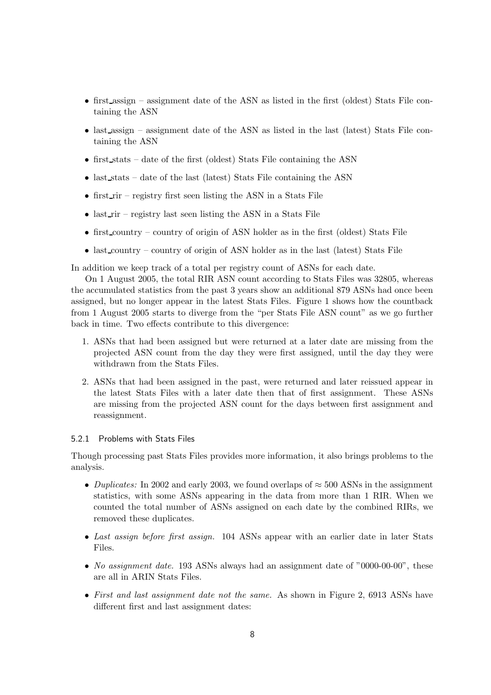- first assign assignment date of the ASN as listed in the first (oldest) Stats File containing the ASN
- last assign assignment date of the ASN as listed in the last (latest) Stats File containing the ASN
- first stats date of the first (oldest) Stats File containing the ASN
- last stats date of the last (latest) Stats File containing the ASN
- first\_rir registry first seen listing the ASN in a Stats File
- last  $\text{Iir}$  registry last seen listing the ASN in a Stats File
- $\bullet$  first country country of origin of ASN holder as in the first (oldest) Stats File
- $\bullet$  last country country of origin of ASN holder as in the last (latest) Stats File

In addition we keep track of a total per registry count of ASNs for each date.

On 1 August 2005, the total RIR ASN count according to Stats Files was 32805, whereas the accumulated statistics from the past 3 years show an additional 879 ASNs had once been assigned, but no longer appear in the latest Stats Files. Figure 1 shows how the countback from 1 August 2005 starts to diverge from the "per Stats File ASN count" as we go further back in time. Two effects contribute to this divergence:

- 1. ASNs that had been assigned but were returned at a later date are missing from the projected ASN count from the day they were first assigned, until the day they were withdrawn from the Stats Files.
- 2. ASNs that had been assigned in the past, were returned and later reissued appear in the latest Stats Files with a later date then that of first assignment. These ASNs are missing from the projected ASN count for the days between first assignment and reassignment.

#### 5.2.1 Problems with Stats Files

Though processing past Stats Files provides more information, it also brings problems to the analysis.

- Duplicates: In 2002 and early 2003, we found overlaps of  $\approx 500$  ASNs in the assignment statistics, with some ASNs appearing in the data from more than 1 RIR. When we counted the total number of ASNs assigned on each date by the combined RIRs, we removed these duplicates.
- Last assign before first assign. 104 ASNs appear with an earlier date in later Stats Files.
- No assignment date. 193 ASNs always had an assignment date of "0000-00-00", these are all in ARIN Stats Files.
- First and last assignment date not the same. As shown in Figure 2, 6913 ASNs have different first and last assignment dates: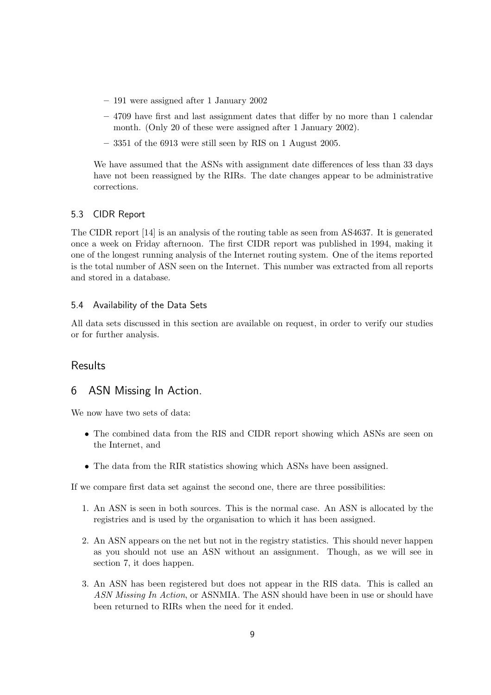- 191 were assigned after 1 January 2002
- 4709 have first and last assignment dates that differ by no more than 1 calendar month. (Only 20 of these were assigned after 1 January 2002).
- 3351 of the 6913 were still seen by RIS on 1 August 2005.

We have assumed that the ASNs with assignment date differences of less than 33 days have not been reassigned by the RIRs. The date changes appear to be administrative corrections.

#### 5.3 CIDR Report

The CIDR report [14] is an analysis of the routing table as seen from AS4637. It is generated once a week on Friday afternoon. The first CIDR report was published in 1994, making it one of the longest running analysis of the Internet routing system. One of the items reported is the total number of ASN seen on the Internet. This number was extracted from all reports and stored in a database.

#### 5.4 Availability of the Data Sets

All data sets discussed in this section are available on request, in order to verify our studies or for further analysis.

### **Results**

### 6 ASN Missing In Action.

We now have two sets of data:

- The combined data from the RIS and CIDR report showing which ASNs are seen on the Internet, and
- The data from the RIR statistics showing which ASNs have been assigned.

If we compare first data set against the second one, there are three possibilities:

- 1. An ASN is seen in both sources. This is the normal case. An ASN is allocated by the registries and is used by the organisation to which it has been assigned.
- 2. An ASN appears on the net but not in the registry statistics. This should never happen as you should not use an ASN without an assignment. Though, as we will see in section 7, it does happen.
- 3. An ASN has been registered but does not appear in the RIS data. This is called an ASN Missing In Action, or ASNMIA. The ASN should have been in use or should have been returned to RIRs when the need for it ended.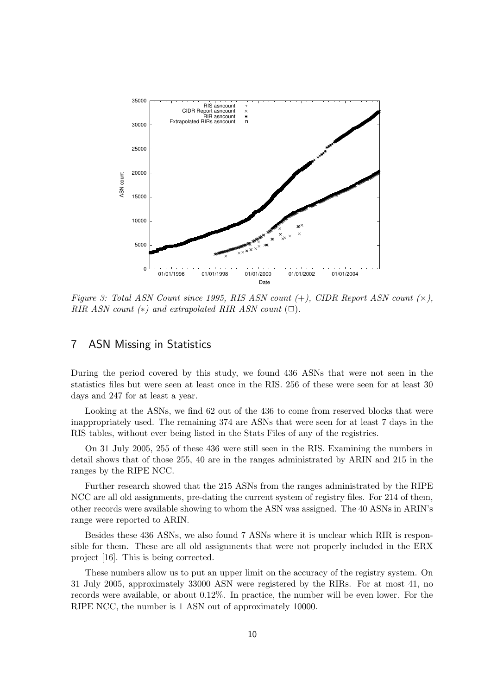

Figure 3: Total ASN Count since 1995, RIS ASN count  $(+)$ , CIDR Report ASN count  $(\times)$ , RIR ASN count  $(*)$  and extrapolated RIR ASN count  $(\square)$ .

### 7 ASN Missing in Statistics

During the period covered by this study, we found 436 ASNs that were not seen in the statistics files but were seen at least once in the RIS. 256 of these were seen for at least 30 days and 247 for at least a year.

Looking at the ASNs, we find 62 out of the 436 to come from reserved blocks that were inappropriately used. The remaining 374 are ASNs that were seen for at least 7 days in the RIS tables, without ever being listed in the Stats Files of any of the registries.

On 31 July 2005, 255 of these 436 were still seen in the RIS. Examining the numbers in detail shows that of those 255, 40 are in the ranges administrated by ARIN and 215 in the ranges by the RIPE NCC.

Further research showed that the 215 ASNs from the ranges administrated by the RIPE NCC are all old assignments, pre-dating the current system of registry files. For 214 of them, other records were available showing to whom the ASN was assigned. The 40 ASNs in ARIN's range were reported to ARIN.

Besides these 436 ASNs, we also found 7 ASNs where it is unclear which RIR is responsible for them. These are all old assignments that were not properly included in the ERX project [16]. This is being corrected.

These numbers allow us to put an upper limit on the accuracy of the registry system. On 31 July 2005, approximately 33000 ASN were registered by the RIRs. For at most 41, no records were available, or about 0.12%. In practice, the number will be even lower. For the RIPE NCC, the number is 1 ASN out of approximately 10000.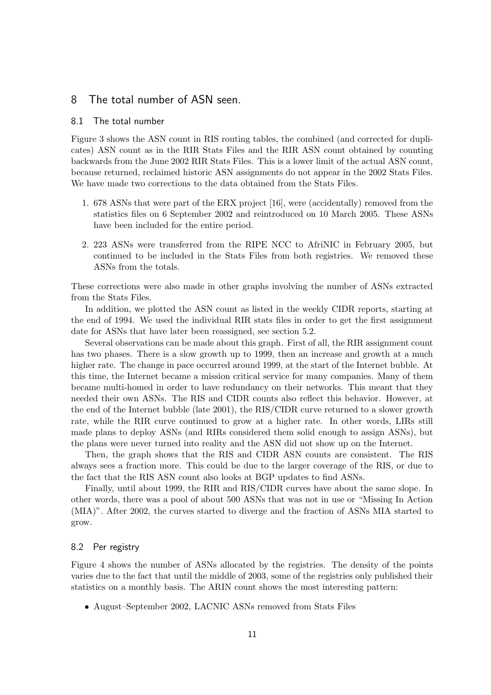### 8 The total number of ASN seen.

#### 8.1 The total number

Figure 3 shows the ASN count in RIS routing tables, the combined (and corrected for duplicates) ASN count as in the RIR Stats Files and the RIR ASN count obtained by counting backwards from the June 2002 RIR Stats Files. This is a lower limit of the actual ASN count, because returned, reclaimed historic ASN assignments do not appear in the 2002 Stats Files. We have made two corrections to the data obtained from the Stats Files.

- 1. 678 ASNs that were part of the ERX project [16], were (accidentally) removed from the statistics files on 6 September 2002 and reintroduced on 10 March 2005. These ASNs have been included for the entire period.
- 2. 223 ASNs were transferred from the RIPE NCC to AfriNIC in February 2005, but continued to be included in the Stats Files from both registries. We removed these ASNs from the totals.

These corrections were also made in other graphs involving the number of ASNs extracted from the Stats Files.

In addition, we plotted the ASN count as listed in the weekly CIDR reports, starting at the end of 1994. We used the individual RIR stats files in order to get the first assignment date for ASNs that have later been reassigned, see section 5.2.

Several observations can be made about this graph. First of all, the RIR assignment count has two phases. There is a slow growth up to 1999, then an increase and growth at a much higher rate. The change in pace occurred around 1999, at the start of the Internet bubble. At this time, the Internet became a mission critical service for many companies. Many of them became multi-homed in order to have redundancy on their networks. This meant that they needed their own ASNs. The RIS and CIDR counts also reflect this behavior. However, at the end of the Internet bubble (late 2001), the RIS/CIDR curve returned to a slower growth rate, while the RIR curve continued to grow at a higher rate. In other words, LIRs still made plans to deploy ASNs (and RIRs considered them solid enough to assign ASNs), but the plans were never turned into reality and the ASN did not show up on the Internet.

Then, the graph shows that the RIS and CIDR ASN counts are consistent. The RIS always sees a fraction more. This could be due to the larger coverage of the RIS, or due to the fact that the RIS ASN count also looks at BGP updates to find ASNs.

Finally, until about 1999, the RIR and RIS/CIDR curves have about the same slope. In other words, there was a pool of about 500 ASNs that was not in use or "Missing In Action (MIA)". After 2002, the curves started to diverge and the fraction of ASNs MIA started to grow.

#### 8.2 Per registry

Figure 4 shows the number of ASNs allocated by the registries. The density of the points varies due to the fact that until the middle of 2003, some of the registries only published their statistics on a monthly basis. The ARIN count shows the most interesting pattern:

• August–September 2002, LACNIC ASNs removed from Stats Files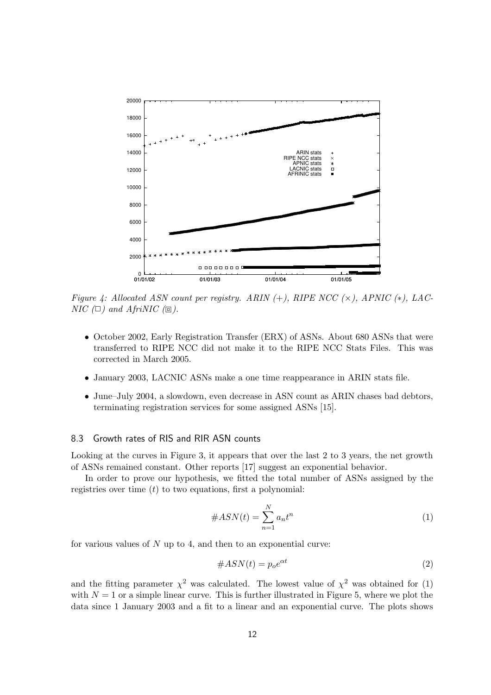

Figure 4: Allocated ASN count per registry. ARIN  $(+)$ , RIPE NCC  $(\times)$ , APNIC  $(\ast)$ , LAC- $NIC (\Box)$  and  $AfriNIC (\Box)$ .

- October 2002, Early Registration Transfer (ERX) of ASNs. About 680 ASNs that were transferred to RIPE NCC did not make it to the RIPE NCC Stats Files. This was corrected in March 2005.
- January 2003, LACNIC ASNs make a one time reappearance in ARIN stats file.
- June–July 2004, a slowdown, even decrease in ASN count as ARIN chases bad debtors, terminating registration services for some assigned ASNs [15].

#### 8.3 Growth rates of RIS and RIR ASN counts

Looking at the curves in Figure 3, it appears that over the last 2 to 3 years, the net growth of ASNs remained constant. Other reports [17] suggest an exponential behavior.

In order to prove our hypothesis, we fitted the total number of ASNs assigned by the registries over time  $(t)$  to two equations, first a polynomial:

$$
#ASN(t) = \sum_{n=1}^{N} a_n t^n
$$
\n<sup>(1)</sup>

for various values of  $N$  up to 4, and then to an exponential curve:

$$
\#ASN(t) = p_o e^{\alpha t} \tag{2}
$$

and the fitting parameter  $\chi^2$  was calculated. The lowest value of  $\chi^2$  was obtained for (1) with  $N = 1$  or a simple linear curve. This is further illustrated in Figure 5, where we plot the data since 1 January 2003 and a fit to a linear and an exponential curve. The plots shows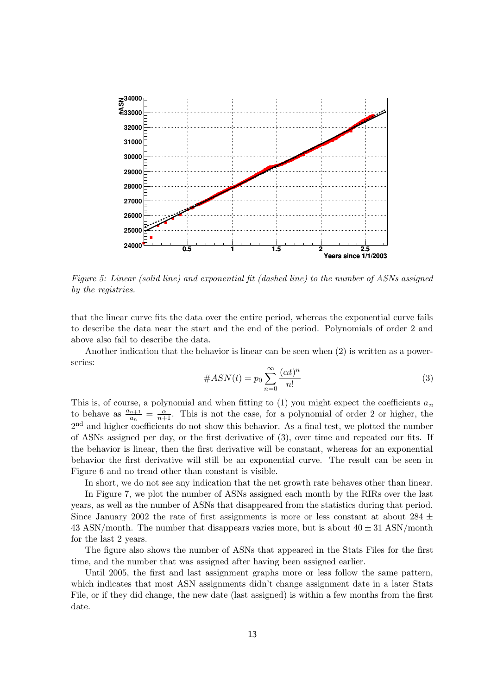

Figure 5: Linear (solid line) and exponential fit (dashed line) to the number of ASNs assigned by the registries.

that the linear curve fits the data over the entire period, whereas the exponential curve fails to describe the data near the start and the end of the period. Polynomials of order 2 and above also fail to describe the data.

Another indication that the behavior is linear can be seen when (2) is written as a powerseries:

$$
#ASN(t) = p_0 \sum_{n=0}^{\infty} \frac{(\alpha t)^n}{n!}
$$
 (3)

This is, of course, a polynomial and when fitting to (1) you might expect the coefficients  $a_n$ to behave as  $\frac{a_{n+1}}{a_n}$  $\frac{n+1}{a_n} = \frac{\alpha}{n+1}$ . This is not the case, for a polynomial of order 2 or higher, the 2<sup>nd</sup> and higher coefficients do not show this behavior. As a final test, we plotted the number of ASNs assigned per day, or the first derivative of (3), over time and repeated our fits. If the behavior is linear, then the first derivative will be constant, whereas for an exponential behavior the first derivative will still be an exponential curve. The result can be seen in Figure 6 and no trend other than constant is visible.

In short, we do not see any indication that the net growth rate behaves other than linear.

In Figure 7, we plot the number of ASNs assigned each month by the RIRs over the last years, as well as the number of ASNs that disappeared from the statistics during that period. Since January 2002 the rate of first assignments is more or less constant at about  $284 \pm$ 43 ASN/month. The number that disappears varies more, but is about  $40 \pm 31$  ASN/month for the last 2 years.

The figure also shows the number of ASNs that appeared in the Stats Files for the first time, and the number that was assigned after having been assigned earlier.

Until 2005, the first and last assignment graphs more or less follow the same pattern, which indicates that most ASN assignments didn't change assignment date in a later Stats File, or if they did change, the new date (last assigned) is within a few months from the first date.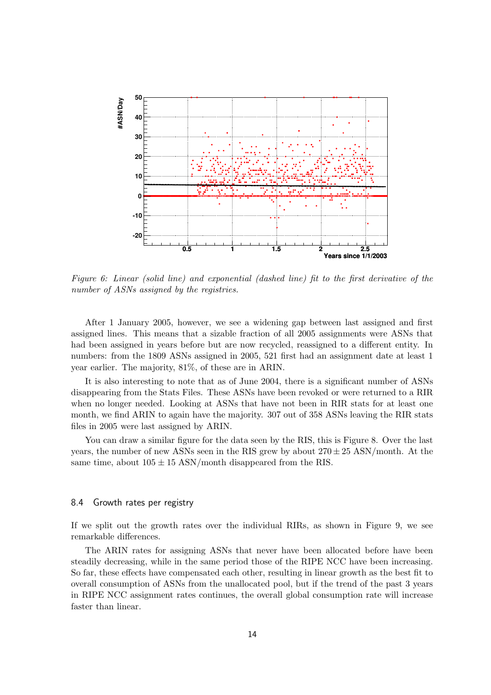

Figure 6: Linear (solid line) and exponential (dashed line) fit to the first derivative of the number of ASNs assigned by the registries.

After 1 January 2005, however, we see a widening gap between last assigned and first assigned lines. This means that a sizable fraction of all 2005 assignments were ASNs that had been assigned in years before but are now recycled, reassigned to a different entity. In numbers: from the 1809 ASNs assigned in 2005, 521 first had an assignment date at least 1 year earlier. The majority, 81%, of these are in ARIN.

It is also interesting to note that as of June 2004, there is a significant number of ASNs disappearing from the Stats Files. These ASNs have been revoked or were returned to a RIR when no longer needed. Looking at ASNs that have not been in RIR stats for at least one month, we find ARIN to again have the majority. 307 out of 358 ASNs leaving the RIR stats files in 2005 were last assigned by ARIN.

You can draw a similar figure for the data seen by the RIS, this is Figure 8. Over the last years, the number of new ASNs seen in the RIS grew by about  $270 \pm 25$  ASN/month. At the same time, about  $105 \pm 15$  ASN/month disappeared from the RIS.

#### 8.4 Growth rates per registry

If we split out the growth rates over the individual RIRs, as shown in Figure 9, we see remarkable differences.

The ARIN rates for assigning ASNs that never have been allocated before have been steadily decreasing, while in the same period those of the RIPE NCC have been increasing. So far, these effects have compensated each other, resulting in linear growth as the best fit to overall consumption of ASNs from the unallocated pool, but if the trend of the past 3 years in RIPE NCC assignment rates continues, the overall global consumption rate will increase faster than linear.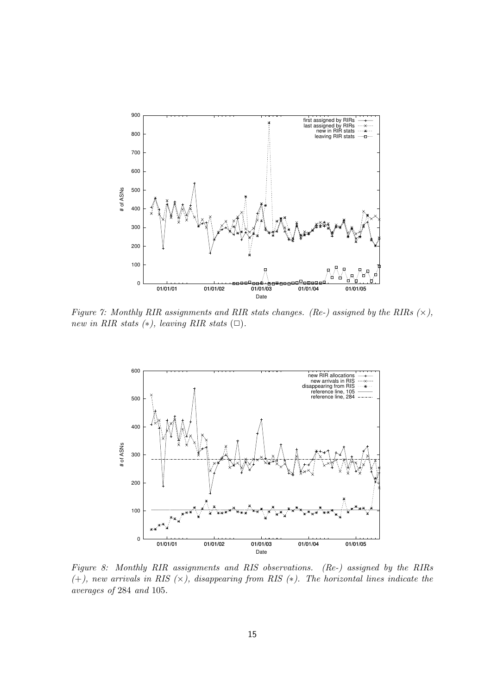

Figure 7: Monthly RIR assignments and RIR stats changes. (Re-) assigned by the RIRs  $(\times)$ , new in RIR stats  $(*),$  leaving RIR stats  $(\Box).$ 



Figure 8: Monthly RIR assignments and RIS observations. (Re-) assigned by the RIRs (+), new arrivals in RIS  $(\times)$ , disappearing from RIS  $(*)$ . The horizontal lines indicate the averages of 284 and 105.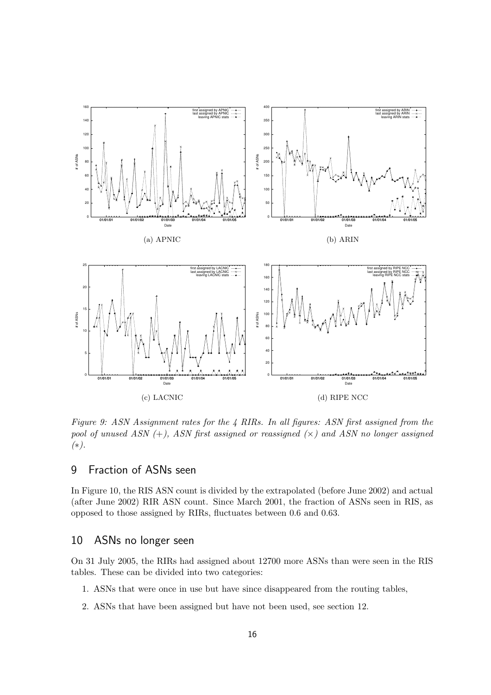

Figure 9: ASN Assignment rates for the 4 RIRs. In all figures: ASN first assigned from the pool of unused ASN  $(+)$ , ASN first assigned or reassigned  $(\times)$  and ASN no longer assigned (∗).

# 9 Fraction of ASNs seen

In Figure 10, the RIS ASN count is divided by the extrapolated (before June 2002) and actual (after June 2002) RIR ASN count. Since March 2001, the fraction of ASNs seen in RIS, as opposed to those assigned by RIRs, fluctuates between 0.6 and 0.63.

## 10 ASNs no longer seen

On 31 July 2005, the RIRs had assigned about 12700 more ASNs than were seen in the RIS tables. These can be divided into two categories:

- 1. ASNs that were once in use but have since disappeared from the routing tables,
- 2. ASNs that have been assigned but have not been used, see section 12.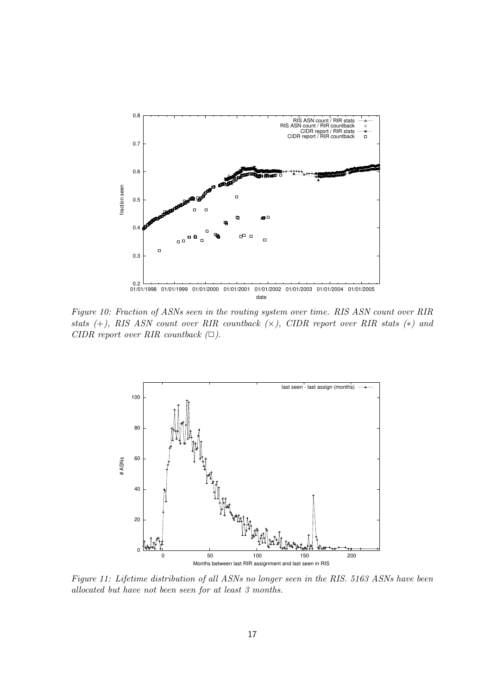

Figure 10: Fraction of ASNs seen in the routing system over time. RIS ASN count over RIR stats  $(+)$ , RIS ASN count over RIR countback  $(\times)$ , CIDR report over RIR stats  $(*)$  and CIDR report over RIR countback  $(\Box)$ .



Figure 11: Lifetime distribution of all ASNs no longer seen in the RIS. 5163 ASNs have been allocated but have not been seen for at least 3 months.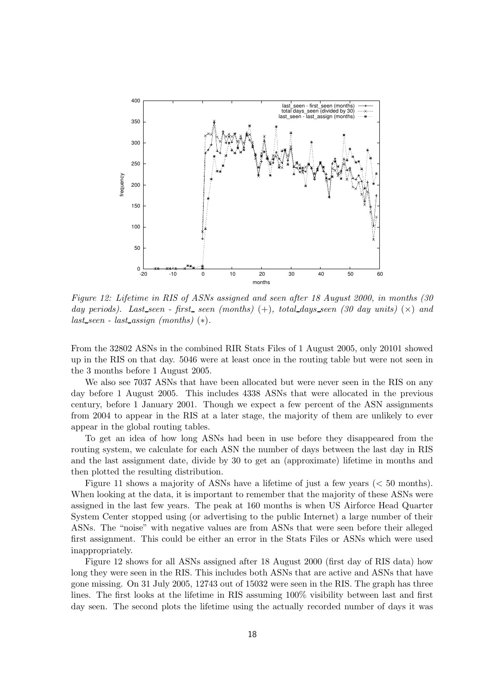

Figure 12: Lifetime in RIS of ASNs assigned and seen after 18 August 2000, in months (30 day periods). Last\_seen - first\_seen (months) (+), total\_days\_seen (30 day units) ( $\times$ ) and  $last\_seen - last\_assign (months) (*)$ .

From the 32802 ASNs in the combined RIR Stats Files of 1 August 2005, only 20101 showed up in the RIS on that day. 5046 were at least once in the routing table but were not seen in the 3 months before 1 August 2005.

We also see 7037 ASNs that have been allocated but were never seen in the RIS on any day before 1 August 2005. This includes 4338 ASNs that were allocated in the previous century, before 1 January 2001. Though we expect a few percent of the ASN assignments from 2004 to appear in the RIS at a later stage, the majority of them are unlikely to ever appear in the global routing tables.

To get an idea of how long ASNs had been in use before they disappeared from the routing system, we calculate for each ASN the number of days between the last day in RIS and the last assignment date, divide by 30 to get an (approximate) lifetime in months and then plotted the resulting distribution.

Figure 11 shows a majority of ASNs have a lifetime of just a few years  $( $50$  months).$ When looking at the data, it is important to remember that the majority of these ASNs were assigned in the last few years. The peak at 160 months is when US Airforce Head Quarter System Center stopped using (or advertising to the public Internet) a large number of their ASNs. The "noise" with negative values are from ASNs that were seen before their alleged first assignment. This could be either an error in the Stats Files or ASNs which were used inappropriately.

Figure 12 shows for all ASNs assigned after 18 August 2000 (first day of RIS data) how long they were seen in the RIS. This includes both ASNs that are active and ASNs that have gone missing. On 31 July 2005, 12743 out of 15032 were seen in the RIS. The graph has three lines. The first looks at the lifetime in RIS assuming 100% visibility between last and first day seen. The second plots the lifetime using the actually recorded number of days it was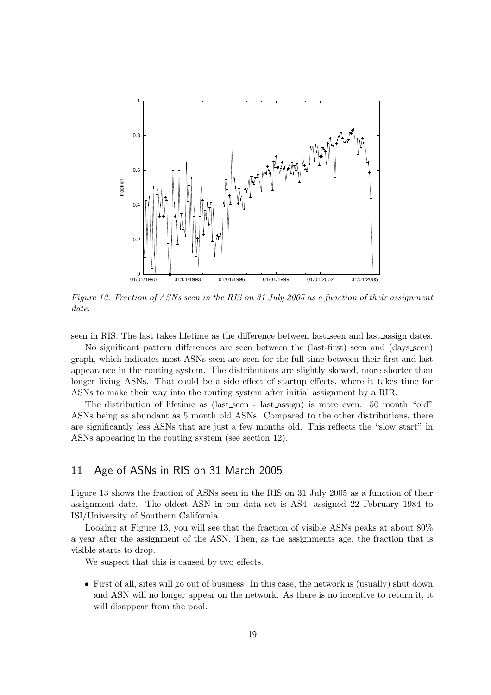

Figure 13: Fraction of ASNs seen in the RIS on 31 July 2005 as a function of their assignment date.

seen in RIS. The last takes lifetime as the difference between last seen and last assign dates.

No significant pattern differences are seen between the (last-first) seen and (days seen) graph, which indicates most ASNs seen are seen for the full time between their first and last appearance in the routing system. The distributions are slightly skewed, more shorter than longer living ASNs. That could be a side effect of startup effects, where it takes time for ASNs to make their way into the routing system after initial assignment by a RIR.

The distribution of lifetime as (last seen - last assign) is more even. 50 month "old" ASNs being as abundant as 5 month old ASNs. Compared to the other distributions, there are significantly less ASNs that are just a few months old. This reflects the "slow start" in ASNs appearing in the routing system (see section 12).

# 11 Age of ASNs in RIS on 31 March 2005

Figure 13 shows the fraction of ASNs seen in the RIS on 31 July 2005 as a function of their assignment date. The oldest ASN in our data set is AS4, assigned 22 February 1984 to ISI/University of Southern California.

Looking at Figure 13, you will see that the fraction of visible ASNs peaks at about  $80\%$ a year after the assignment of the ASN. Then, as the assignments age, the fraction that is visible starts to drop.

We suspect that this is caused by two effects.

• First of all, sites will go out of business. In this case, the network is (usually) shut down and ASN will no longer appear on the network. As there is no incentive to return it, it will disappear from the pool.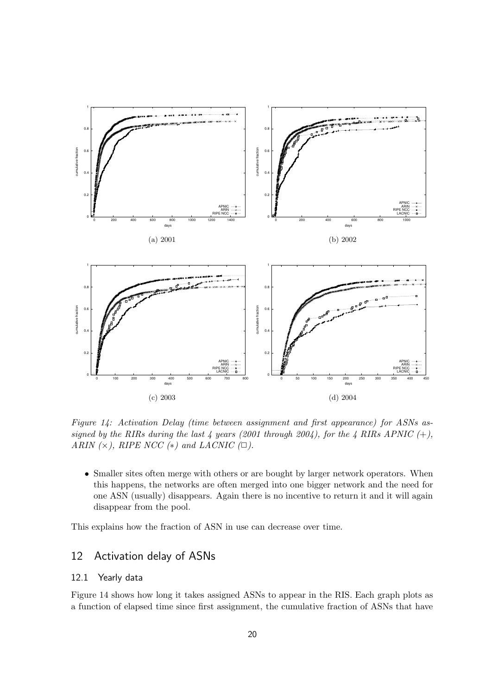

Figure 14: Activation Delay (time between assignment and first appearance) for ASNs assigned by the RIRs during the last 4 years (2001 through 2004), for the 4 RIRs APNIC  $(+)$ , ARIN  $(\times)$ , RIPE NCC  $(*)$  and LACNIC  $(\square)$ .

• Smaller sites often merge with others or are bought by larger network operators. When this happens, the networks are often merged into one bigger network and the need for one ASN (usually) disappears. Again there is no incentive to return it and it will again disappear from the pool.

This explains how the fraction of ASN in use can decrease over time.

# 12 Activation delay of ASNs

#### 12.1 Yearly data

Figure 14 shows how long it takes assigned ASNs to appear in the RIS. Each graph plots as a function of elapsed time since first assignment, the cumulative fraction of ASNs that have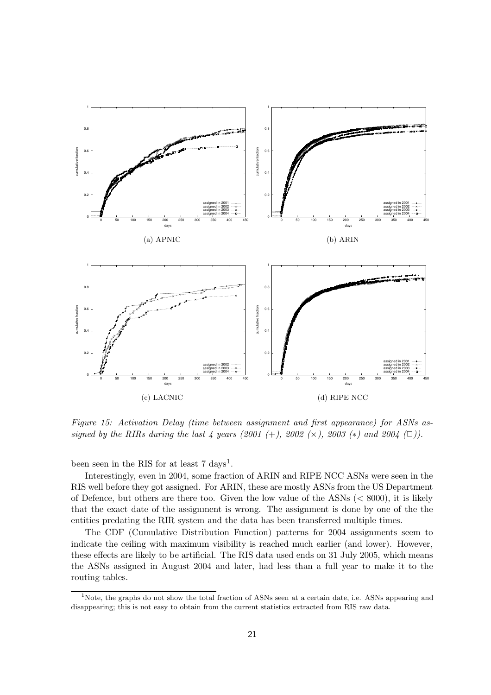

Figure 15: Activation Delay (time between assignment and first appearance) for ASNs assigned by the RIRs during the last 4 years (2001 (+), 2002 ( $\times$ ), 2003 ( $*$ ) and 2004 ( $\Box$ )).

been seen in the RIS for at least  $7 \text{ days}^1$ .

Interestingly, even in 2004, some fraction of ARIN and RIPE NCC ASNs were seen in the RIS well before they got assigned. For ARIN, these are mostly ASNs from the US Department of Defence, but others are there too. Given the low value of the ASNs (< 8000), it is likely that the exact date of the assignment is wrong. The assignment is done by one of the the entities predating the RIR system and the data has been transferred multiple times.

The CDF (Cumulative Distribution Function) patterns for 2004 assignments seem to indicate the ceiling with maximum visibility is reached much earlier (and lower). However, these effects are likely to be artificial. The RIS data used ends on 31 July 2005, which means the ASNs assigned in August 2004 and later, had less than a full year to make it to the routing tables.

<sup>&</sup>lt;sup>1</sup>Note, the graphs do not show the total fraction of ASNs seen at a certain date, i.e. ASNs appearing and disappearing; this is not easy to obtain from the current statistics extracted from RIS raw data.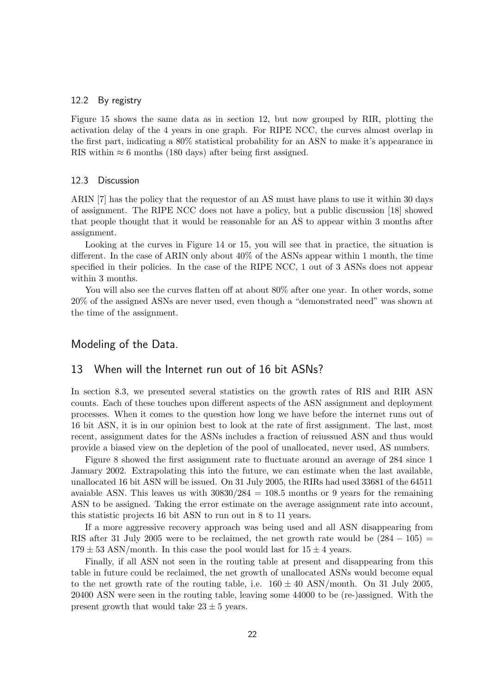#### 12.2 By registry

Figure 15 shows the same data as in section 12, but now grouped by RIR, plotting the activation delay of the 4 years in one graph. For RIPE NCC, the curves almost overlap in the first part, indicating a 80% statistical probability for an ASN to make it's appearance in RIS within  $\approx 6$  months (180 days) after being first assigned.

#### 12.3 Discussion

ARIN [7] has the policy that the requestor of an AS must have plans to use it within 30 days of assignment. The RIPE NCC does not have a policy, but a public discussion [18] showed that people thought that it would be reasonable for an AS to appear within 3 months after assignment.

Looking at the curves in Figure 14 or 15, you will see that in practice, the situation is different. In the case of ARIN only about 40% of the ASNs appear within 1 month, the time specified in their policies. In the case of the RIPE NCC, 1 out of 3 ASNs does not appear within 3 months.

You will also see the curves flatten off at about  $80\%$  after one year. In other words, some 20% of the assigned ASNs are never used, even though a "demonstrated need" was shown at the time of the assignment.

### Modeling of the Data.

#### 13 When will the Internet run out of 16 bit ASNs?

In section 8.3, we presented several statistics on the growth rates of RIS and RIR ASN counts. Each of these touches upon different aspects of the ASN assignment and deployment processes. When it comes to the question how long we have before the internet runs out of 16 bit ASN, it is in our opinion best to look at the rate of first assignment. The last, most recent, assignment dates for the ASNs includes a fraction of reiussued ASN and thus would provide a biased view on the depletion of the pool of unallocated, never used, AS numbers.

Figure 8 showed the first assignment rate to fluctuate around an average of 284 since 1 January 2002. Extrapolating this into the future, we can estimate when the last available, unallocated 16 bit ASN will be issued. On 31 July 2005, the RIRs had used 33681 of the 64511 avaiable ASN. This leaves us with  $30830/284 = 108.5$  months or 9 years for the remaining ASN to be assigned. Taking the error estimate on the average assignment rate into account, this statistic projects 16 bit ASN to run out in 8 to 11 years.

If a more aggressive recovery approach was being used and all ASN disappearing from RIS after 31 July 2005 were to be reclaimed, the net growth rate would be  $(284 - 105)$  =  $179 \pm 53$  ASN/month. In this case the pool would last for  $15 \pm 4$  years.

Finally, if all ASN not seen in the routing table at present and disappearing from this table in future could be reclaimed, the net growth of unallocated ASNs would become equal to the net growth rate of the routing table, i.e.  $160 \pm 40$  ASN/month. On 31 July 2005, 20400 ASN were seen in the routing table, leaving some 44000 to be (re-)assigned. With the present growth that would take  $23 \pm 5$  years.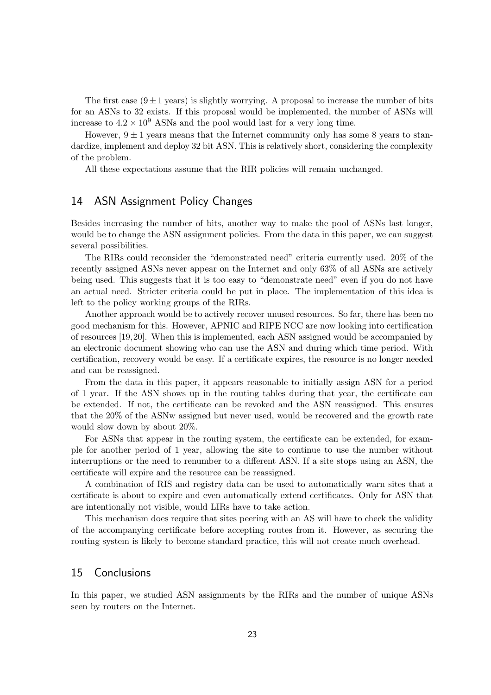The first case  $(9 \pm 1 \text{ years})$  is slightly worrying. A proposal to increase the number of bits for an ASNs to 32 exists. If this proposal would be implemented, the number of ASNs will increase to  $4.2 \times 10^9$  ASNs and the pool would last for a very long time.

However,  $9 \pm 1$  years means that the Internet community only has some 8 years to standardize, implement and deploy 32 bit ASN. This is relatively short, considering the complexity of the problem.

All these expectations assume that the RIR policies will remain unchanged.

### 14 ASN Assignment Policy Changes

Besides increasing the number of bits, another way to make the pool of ASNs last longer, would be to change the ASN assignment policies. From the data in this paper, we can suggest several possibilities.

The RIRs could reconsider the "demonstrated need" criteria currently used. 20% of the recently assigned ASNs never appear on the Internet and only 63% of all ASNs are actively being used. This suggests that it is too easy to "demonstrate need" even if you do not have an actual need. Stricter criteria could be put in place. The implementation of this idea is left to the policy working groups of the RIRs.

Another approach would be to actively recover unused resources. So far, there has been no good mechanism for this. However, APNIC and RIPE NCC are now looking into certification of resources [19,20]. When this is implemented, each ASN assigned would be accompanied by an electronic document showing who can use the ASN and during which time period. With certification, recovery would be easy. If a certificate expires, the resource is no longer needed and can be reassigned.

From the data in this paper, it appears reasonable to initially assign ASN for a period of 1 year. If the ASN shows up in the routing tables during that year, the certificate can be extended. If not, the certificate can be revoked and the ASN reassigned. This ensures that the 20% of the ASNw assigned but never used, would be recovered and the growth rate would slow down by about 20%.

For ASNs that appear in the routing system, the certificate can be extended, for example for another period of 1 year, allowing the site to continue to use the number without interruptions or the need to renumber to a different ASN. If a site stops using an ASN, the certificate will expire and the resource can be reassigned.

A combination of RIS and registry data can be used to automatically warn sites that a certificate is about to expire and even automatically extend certificates. Only for ASN that are intentionally not visible, would LIRs have to take action.

This mechanism does require that sites peering with an AS will have to check the validity of the accompanying certificate before accepting routes from it. However, as securing the routing system is likely to become standard practice, this will not create much overhead.

### 15 Conclusions

In this paper, we studied ASN assignments by the RIRs and the number of unique ASNs seen by routers on the Internet.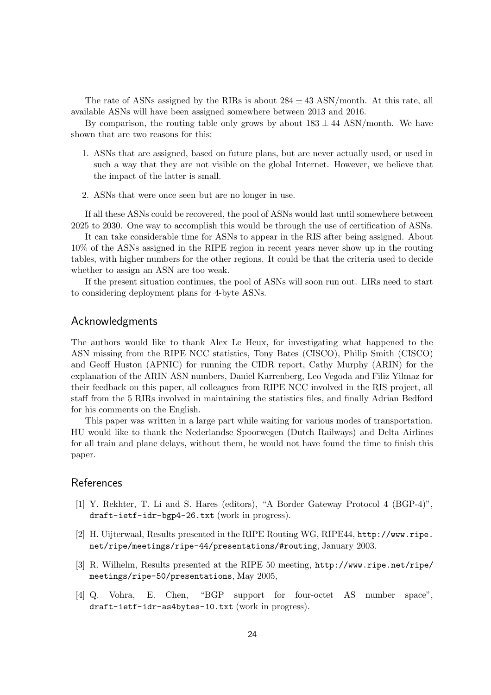The rate of ASNs assigned by the RIRs is about  $284 \pm 43$  ASN/month. At this rate, all available ASNs will have been assigned somewhere between 2013 and 2016.

By comparison, the routing table only grows by about  $183 \pm 44$  ASN/month. We have shown that are two reasons for this:

- 1. ASNs that are assigned, based on future plans, but are never actually used, or used in such a way that they are not visible on the global Internet. However, we believe that the impact of the latter is small.
- 2. ASNs that were once seen but are no longer in use.

If all these ASNs could be recovered, the pool of ASNs would last until somewhere between 2025 to 2030. One way to accomplish this would be through the use of certification of ASNs.

It can take considerable time for ASNs to appear in the RIS after being assigned. About 10% of the ASNs assigned in the RIPE region in recent years never show up in the routing tables, with higher numbers for the other regions. It could be that the criteria used to decide whether to assign an ASN are too weak.

If the present situation continues, the pool of ASNs will soon run out. LIRs need to start to considering deployment plans for 4-byte ASNs.

### Acknowledgments

The authors would like to thank Alex Le Heux, for investigating what happened to the ASN missing from the RIPE NCC statistics, Tony Bates (CISCO), Philip Smith (CISCO) and Geoff Huston (APNIC) for running the CIDR report, Cathy Murphy (ARIN) for the explanation of the ARIN ASN numbers, Daniel Karrenberg, Leo Vegoda and Filiz Yilmaz for their feedback on this paper, all colleagues from RIPE NCC involved in the RIS project, all staff from the 5 RIRs involved in maintaining the statistics files, and finally Adrian Bedford for his comments on the English.

This paper was written in a large part while waiting for various modes of transportation. HU would like to thank the Nederlandse Spoorwegen (Dutch Railways) and Delta Airlines for all train and plane delays, without them, he would not have found the time to finish this paper.

### References

- [1] Y. Rekhter, T. Li and S. Hares (editors), "A Border Gateway Protocol 4 (BGP-4)", draft-ietf-idr-bgp4-26.txt (work in progress).
- [2] H. Uijterwaal, Results presented in the RIPE Routing WG, RIPE44, http://www.ripe. net/ripe/meetings/ripe-44/presentations/#routing, January 2003.
- [3] R. Wilhelm, Results presented at the RIPE 50 meeting, http://www.ripe.net/ripe/ meetings/ripe-50/presentations, May 2005,
- [4] Q. Vohra, E. Chen, "BGP support for four-octet AS number space", draft-ietf-idr-as4bytes-10.txt (work in progress).